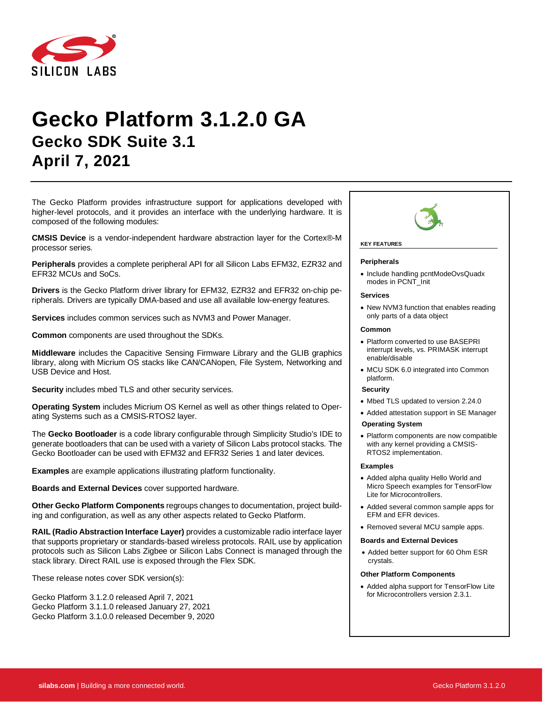

# **Gecko Platform 3.1.2.0 GA Gecko SDK Suite 3.1 April 7, 2021**

The Gecko Platform provides infrastructure support for applications developed with higher-level protocols, and it provides an interface with the underlying hardware. It is composed of the following modules:

**CMSIS Device** is a vendor-independent hardware abstraction layer for the Cortex®-M processor series.

**Peripherals** provides a complete peripheral API for all Silicon Labs EFM32, EZR32 and EFR32 MCUs and SoCs.

**Drivers** is the Gecko Platform driver library for EFM32, EZR32 and EFR32 on-chip peripherals. Drivers are typically DMA-based and use all available low-energy features.

**Services** includes common services such as NVM3 and Power Manager.

**Common** components are used throughout the SDKs.

**Middleware** includes the Capacitive Sensing Firmware Library and the GLIB graphics library, along with Micrium OS stacks like CAN/CANopen, File System, Networking and USB Device and Host.

**Security** includes mbed TLS and other security services.

**Operating System** includes Micrium OS Kernel as well as other things related to Operating Systems such as a CMSIS-RTOS2 layer.

The **Gecko Bootloader** is a code library configurable through Simplicity Studio's IDE to generate bootloaders that can be used with a variety of Silicon Labs protocol stacks. The Gecko Bootloader can be used with EFM32 and EFR32 Series 1 and later devices.

**Examples** are example applications illustrating platform functionality.

**Boards and External Devices** cover supported hardware.

**Other Gecko Platform Components** regroups changes to documentation, project building and configuration, as well as any other aspects related to Gecko Platform.

**RAIL (Radio Abstraction Interface Layer)** provides a customizable radio interface layer that supports proprietary or standards-based wireless protocols. RAIL use by application protocols such as Silicon Labs Zigbee or Silicon Labs Connect is managed through the stack library. Direct RAIL use is exposed through the Flex SDK.

These release notes cover SDK version(s):

Gecko Platform 3.1.2.0 released April 7, 2021 Gecko Platform 3.1.1.0 released January 27, 2021 Gecko Platform 3.1.0.0 released December 9, 2020



### **KEY FEATURES**

#### **Peripherals**

• Include handling pcntModeOvsQuadx modes in PCNT\_Init

#### **Services**

• New NVM3 function that enables reading only parts of a data object

#### **Common**

- Platform converted to use BASEPRI interrupt levels, vs. PRIMASK interrupt enable/disable
- MCU SDK 6.0 integrated into Common platform.

#### **Security**

- Mbed TLS updated to version 2.24.0
- Added attestation support in SE Manager
- **Operating System**
- Platform components are now compatible with any kernel providing a CMSIS-RTOS2 implementation.

#### **Examples**

- Added alpha quality Hello World and Micro Speech examples for TensorFlow Lite for Microcontrollers.
- Added several common sample apps for EFM and EFR devices.
- Removed several MCU sample apps.

#### **Boards and External Devices**

• Added better support for 60 Ohm ESR crystals.

#### **Other Platform Components**

• Added alpha support for TensorFlow Lite for Microcontrollers version 2.3.1.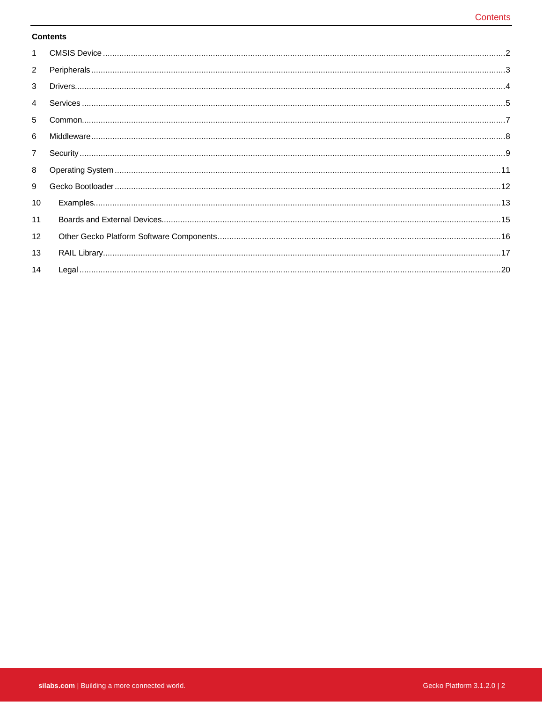#### **Contents**

| $\mathbf{1}$   |                                                                                                                                                                                                                                                                                                                                                                                                                                                                                                                       |
|----------------|-----------------------------------------------------------------------------------------------------------------------------------------------------------------------------------------------------------------------------------------------------------------------------------------------------------------------------------------------------------------------------------------------------------------------------------------------------------------------------------------------------------------------|
| $\overline{2}$ |                                                                                                                                                                                                                                                                                                                                                                                                                                                                                                                       |
| 3              | $\textbf{Drivers}.\textcolor{red}{\textbf{m}}\textcolor{red}{\textbf{m}}\textcolor{red}{\textbf{m}}\textcolor{red}{\textbf{m}}\textcolor{red}{\textbf{m}}\textcolor{red}{\textbf{m}}\textcolor{red}{\textbf{m}}\textcolor{red}{\textbf{m}}\textcolor{red}{\textbf{m}}\textcolor{red}{\textbf{m}}\textcolor{red}{\textbf{m}}\textcolor{red}{\textbf{m}}\textcolor{red}{\textbf{m}}\textcolor{red}{\textbf{m}}\textcolor{red}{\textbf{m}}\textcolor{red}{\textbf{m}}\textcolor{red}{\textbf{m}}\textcolor{red}{\textbf$ |
| $\overline{4}$ |                                                                                                                                                                                                                                                                                                                                                                                                                                                                                                                       |
| 5              |                                                                                                                                                                                                                                                                                                                                                                                                                                                                                                                       |
| 6              |                                                                                                                                                                                                                                                                                                                                                                                                                                                                                                                       |
| $\overline{7}$ |                                                                                                                                                                                                                                                                                                                                                                                                                                                                                                                       |
| 8              |                                                                                                                                                                                                                                                                                                                                                                                                                                                                                                                       |
| 9              |                                                                                                                                                                                                                                                                                                                                                                                                                                                                                                                       |
| 10             |                                                                                                                                                                                                                                                                                                                                                                                                                                                                                                                       |
| 11             |                                                                                                                                                                                                                                                                                                                                                                                                                                                                                                                       |
| 12             |                                                                                                                                                                                                                                                                                                                                                                                                                                                                                                                       |
| 13             |                                                                                                                                                                                                                                                                                                                                                                                                                                                                                                                       |
| 14             |                                                                                                                                                                                                                                                                                                                                                                                                                                                                                                                       |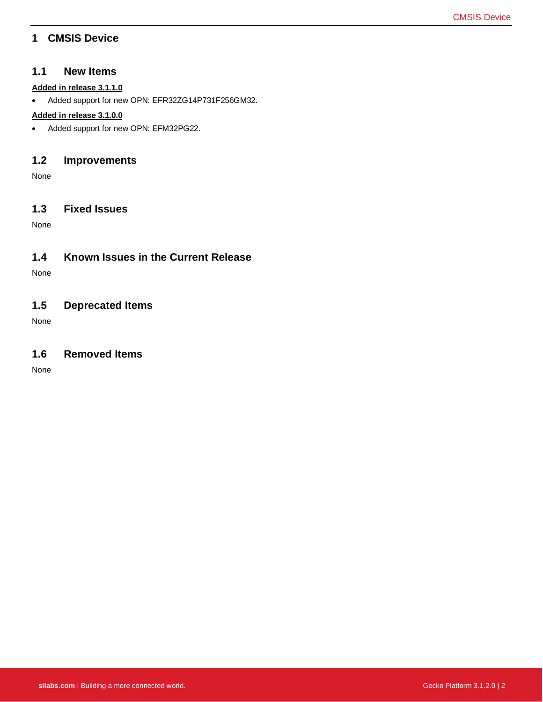# <span id="page-2-0"></span>**1 CMSIS Device**

#### **1.1 New Items**

#### **Added in release 3.1.1.0**

• Added support for new OPN: EFR32ZG14P731F256GM32.

#### **Added in release 3.1.0.0**

• Added support for new OPN: EFM32PG22.

### **1.2 Improvements**

None

### **1.3 Fixed Issues**

None

### **1.4 Known Issues in the Current Release**

None

# **1.5 Deprecated Items**

None

### **1.6 Removed Items**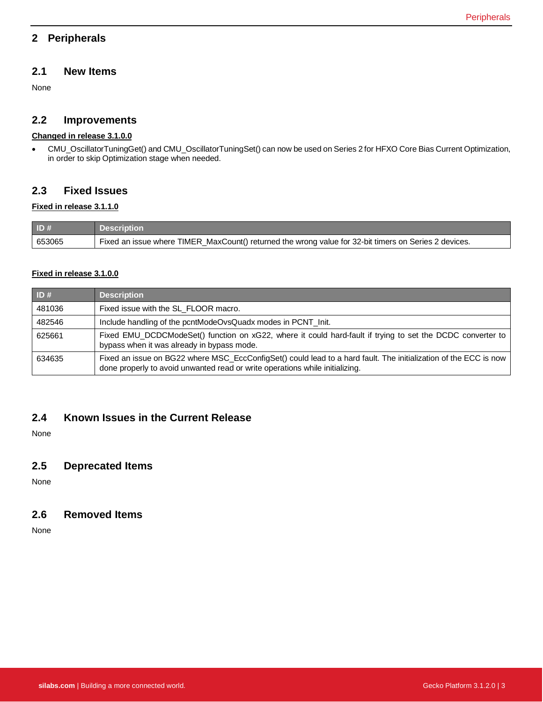# <span id="page-3-0"></span>**2 Peripherals**

### **2.1 New Items**

None

### **2.2 Improvements**

#### **Changed in release 3.1.0.0**

• CMU\_OscillatorTuningGet() and CMU\_OscillatorTuningSet() can now be used on Series 2 for HFXO Core Bias Current Optimization, in order to skip Optimization stage when needed.

### **2.3 Fixed Issues**

#### **Fixed in release 3.1.1.0**

| ID#    | Description                                                                                           |
|--------|-------------------------------------------------------------------------------------------------------|
| 653065 | Fixed an issue where TIMER_MaxCount() returned the wrong value for 32-bit timers on Series 2 devices. |

#### **Fixed in release 3.1.0.0**

| ID#    | <b>Description</b>                                                                                                                                                                               |
|--------|--------------------------------------------------------------------------------------------------------------------------------------------------------------------------------------------------|
| 481036 | Fixed issue with the SL_FLOOR macro.                                                                                                                                                             |
| 482546 | Include handling of the pcntModeOvsQuadx modes in PCNT_Init.                                                                                                                                     |
| 625661 | Fixed EMU_DCDCModeSet() function on xG22, where it could hard-fault if trying to set the DCDC converter to<br>bypass when it was already in bypass mode.                                         |
| 634635 | Fixed an issue on BG22 where MSC_EccConfigSet() could lead to a hard fault. The initialization of the ECC is now<br>done properly to avoid unwanted read or write operations while initializing. |

### **2.4 Known Issues in the Current Release**

None

### **2.5 Deprecated Items**

None

### **2.6 Removed Items**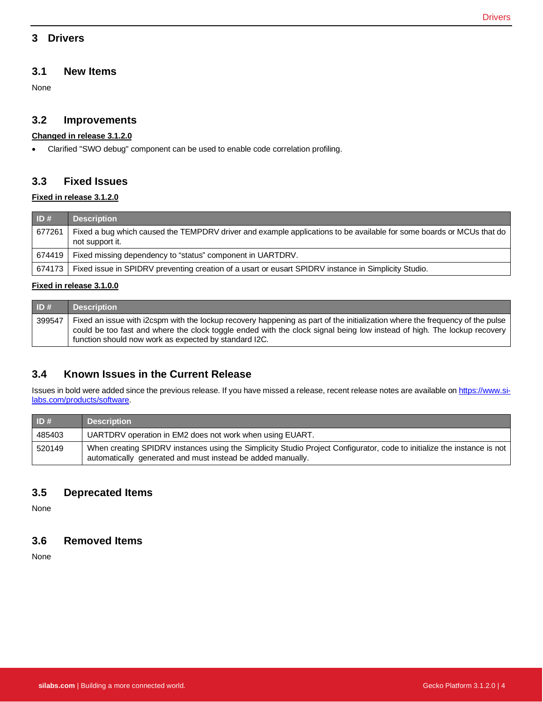### <span id="page-4-0"></span>**3 Drivers**

### **3.1 New Items**

None

### **3.2 Improvements**

### **Changed in release 3.1.2.0**

• Clarified "SWO debug" component can be used to enable code correlation profiling.

### **3.3 Fixed Issues**

#### **Fixed in release 3.1.2.0**

| $\vert$ ID # | <b>Description</b>                                                                                                                      |
|--------------|-----------------------------------------------------------------------------------------------------------------------------------------|
| 677261       | Fixed a bug which caused the TEMPDRV driver and example applications to be available for some boards or MCUs that do<br>not support it. |
| 674419       | Fixed missing dependency to "status" component in UARTDRV.                                                                              |
| 674173       | Fixed issue in SPIDRV preventing creation of a usart or eusart SPIDRV instance in Simplicity Studio.                                    |

#### **Fixed in release 3.1.0.0**

| ID#    | <b>Description</b>                                                                                                                                                                                                                                                                                               |
|--------|------------------------------------------------------------------------------------------------------------------------------------------------------------------------------------------------------------------------------------------------------------------------------------------------------------------|
| 399547 | Fixed an issue with i2cspm with the lockup recovery happening as part of the initialization where the frequency of the pulse<br>could be too fast and where the clock toggle ended with the clock signal being low instead of high. The lockup recovery<br>function should now work as expected by standard I2C. |

# **3.4 Known Issues in the Current Release**

Issues in bold were added since the previous release. If you have missed a release, recent release notes are available o[n https://www.si](https://www.silabs.com/products/software)[labs.com/products/software.](https://www.silabs.com/products/software)

| ID#    | <b>Description</b>                                                                                                                                                                     |
|--------|----------------------------------------------------------------------------------------------------------------------------------------------------------------------------------------|
| 485403 | UARTDRV operation in EM2 does not work when using EUART.                                                                                                                               |
| 520149 | When creating SPIDRV instances using the Simplicity Studio Project Configurator, code to initialize the instance is not<br>automatically generated and must instead be added manually. |

# **3.5 Deprecated Items**

None

### **3.6 Removed Items**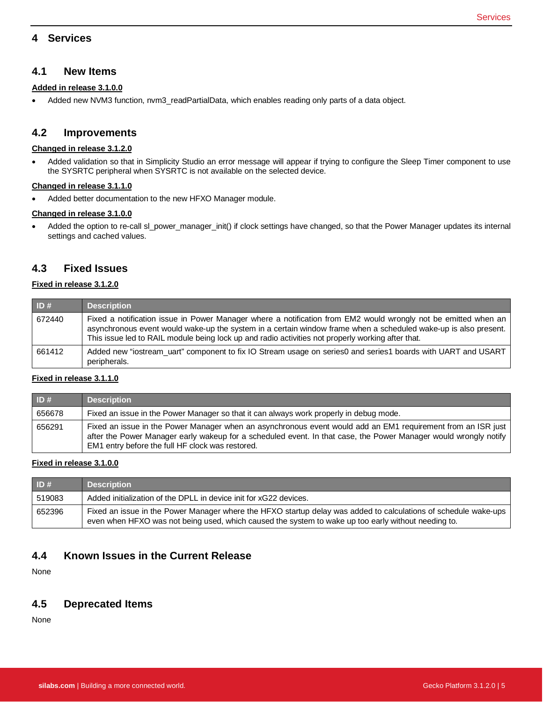### <span id="page-5-0"></span>**4 Services**

#### **4.1 New Items**

#### **Added in release 3.1.0.0**

• Added new NVM3 function, nvm3\_readPartialData, which enables reading only parts of a data object.

#### **4.2 Improvements**

#### **Changed in release 3.1.2.0**

• Added validation so that in Simplicity Studio an error message will appear if trying to configure the Sleep Timer component to use the SYSRTC peripheral when SYSRTC is not available on the selected device.

#### **Changed in release 3.1.1.0**

• Added better documentation to the new HFXO Manager module.

#### **Changed in release 3.1.0.0**

• Added the option to re-call sl\_power\_manager\_init() if clock settings have changed, so that the Power Manager updates its internal settings and cached values.

### **4.3 Fixed Issues**

#### **Fixed in release 3.1.2.0**

| ID#    | <b>Description</b>                                                                                                                                                                                                                                                                                                                     |
|--------|----------------------------------------------------------------------------------------------------------------------------------------------------------------------------------------------------------------------------------------------------------------------------------------------------------------------------------------|
| 672440 | Fixed a notification issue in Power Manager where a notification from EM2 would wrongly not be emitted when an<br>asynchronous event would wake-up the system in a certain window frame when a scheduled wake-up is also present.<br>This issue led to RAIL module being lock up and radio activities not properly working after that. |
| 661412 | Added new "iostream uart" component to fix IO Stream usage on series0 and series1 boards with UART and USART<br>peripherals.                                                                                                                                                                                                           |

#### **Fixed in release 3.1.1.0**

| ID#    | <b>Description</b>                                                                                                                                                                                                                                                                   |
|--------|--------------------------------------------------------------------------------------------------------------------------------------------------------------------------------------------------------------------------------------------------------------------------------------|
| 656678 | Fixed an issue in the Power Manager so that it can always work properly in debug mode.                                                                                                                                                                                               |
| 656291 | Fixed an issue in the Power Manager when an asynchronous event would add an EM1 requirement from an ISR just<br>after the Power Manager early wakeup for a scheduled event. In that case, the Power Manager would wrongly notify<br>EM1 entry before the full HF clock was restored. |

#### **Fixed in release 3.1.0.0**

| ID#    | <b>Description</b>                                                                                                                                                                                                     |
|--------|------------------------------------------------------------------------------------------------------------------------------------------------------------------------------------------------------------------------|
| 519083 | Added initialization of the DPLL in device init for xG22 devices.                                                                                                                                                      |
| 652396 | Fixed an issue in the Power Manager where the HFXO startup delay was added to calculations of schedule wake-ups<br>even when HFXO was not being used, which caused the system to wake up too early without needing to. |

## **4.4 Known Issues in the Current Release**

None

### **4.5 Deprecated Items**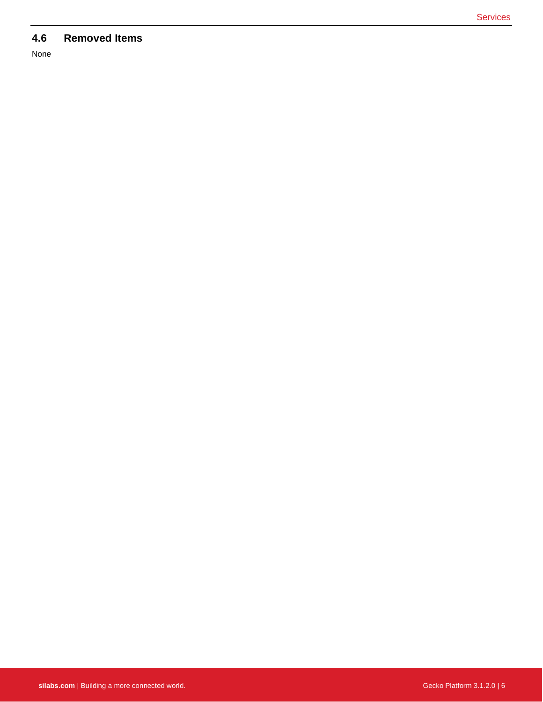# **4.6 Removed Items**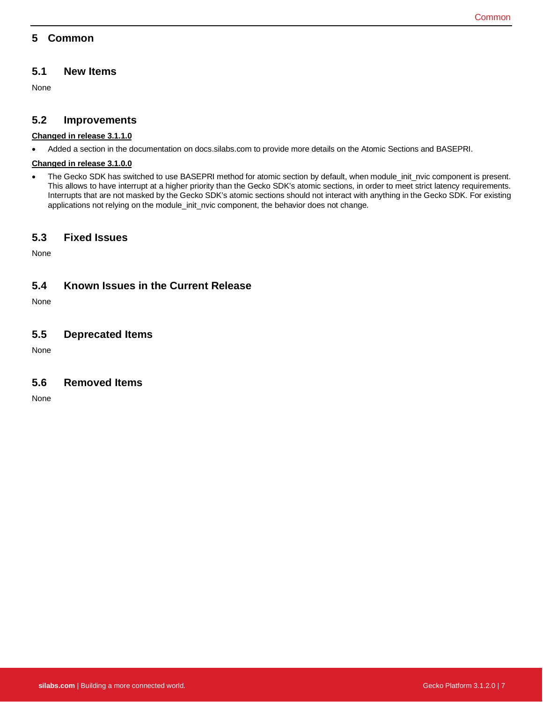# <span id="page-7-0"></span>**5 Common**

### **5.1 New Items**

None

### **5.2 Improvements**

#### **Changed in release 3.1.1.0**

• Added a section in the documentation on docs.silabs.com to provide more details on the Atomic Sections and BASEPRI.

#### **Changed in release 3.1.0.0**

• The Gecko SDK has switched to use BASEPRI method for atomic section by default, when module\_init\_nvic component is present. This allows to have interrupt at a higher priority than the Gecko SDK's atomic sections, in order to meet strict latency requirements. Interrupts that are not masked by the Gecko SDK's atomic sections should not interact with anything in the Gecko SDK. For existing applications not relying on the module\_init\_nvic component, the behavior does not change.

### **5.3 Fixed Issues**

None

### **5.4 Known Issues in the Current Release**

None

### **5.5 Deprecated Items**

None

### **5.6 Removed Items**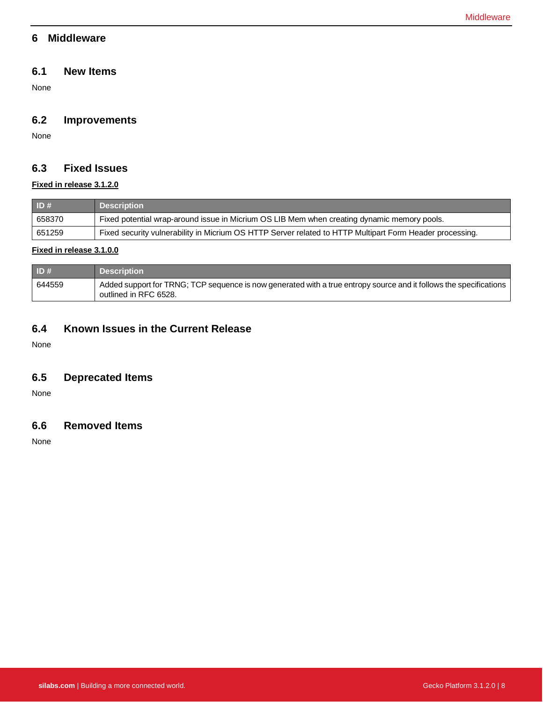### <span id="page-8-0"></span>**6 Middleware**

### **6.1 New Items**

None

# **6.2 Improvements**

None

# **6.3 Fixed Issues**

#### **Fixed in release 3.1.2.0**

| $\vert$ ID # | <b>Description</b>                                                                                       |
|--------------|----------------------------------------------------------------------------------------------------------|
| 658370       | Fixed potential wrap-around issue in Micrium OS LIB Mem when creating dynamic memory pools.              |
| 651259       | Fixed security vulnerability in Micrium OS HTTP Server related to HTTP Multipart Form Header processing. |

#### **Fixed in release 3.1.0.0**

| $\vert$ ID # | <b>Description</b>                                                                                                                          |
|--------------|---------------------------------------------------------------------------------------------------------------------------------------------|
| 644559       | Added support for TRNG; TCP sequence is now generated with a true entropy source and it follows the specifications<br>outlined in RFC 6528. |

# **6.4 Known Issues in the Current Release**

None

# **6.5 Deprecated Items**

None

## **6.6 Removed Items**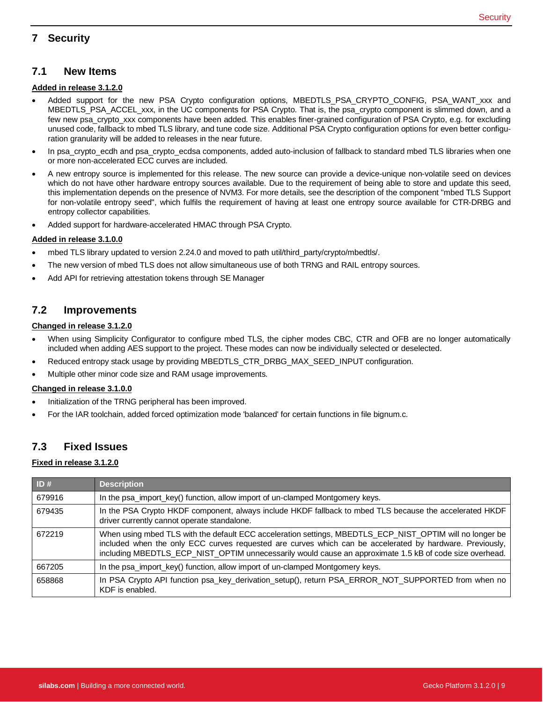# <span id="page-9-0"></span>**7 Security**

#### **Added in release 3.1.2.0**

- Added support for the new PSA Crypto configuration options, MBEDTLS\_PSA\_CRYPTO\_CONFIG, PSA\_WANT\_xxx and MBEDTLS\_PSA\_ACCEL\_xxx, in the UC components for PSA Crypto. That is, the psa\_crypto component is slimmed down, and a few new psa\_crypto\_xxx components have been added. This enables finer-grained configuration of PSA Crypto, e.g. for excluding unused code, fallback to mbed TLS library, and tune code size. Additional PSA Crypto configuration options for even better configuration granularity will be added to releases in the near future.
- In psa\_crypto\_ecdh and psa\_crypto\_ecdsa components, added auto-inclusion of fallback to standard mbed TLS libraries when one or more non-accelerated ECC curves are included.
- A new entropy source is implemented for this release. The new source can provide a device-unique non-volatile seed on devices which do not have other hardware entropy sources available. Due to the requirement of being able to store and update this seed, this implementation depends on the presence of NVM3. For more details, see the description of the component "mbed TLS Support for non-volatile entropy seed", which fulfils the requirement of having at least one entropy source available for CTR-DRBG and entropy collector capabilities.
- Added support for hardware-accelerated HMAC through PSA Crypto.

#### **Added in release 3.1.0.0**

- mbed TLS library updated to version 2.24.0 and moved to path util/third\_party/crypto/mbedtls/.
- The new version of mbed TLS does not allow simultaneous use of both TRNG and RAIL entropy sources.
- Add API for retrieving attestation tokens through SE Manager

### **7.2 Improvements**

#### **Changed in release 3.1.2.0**

- When using Simplicity Configurator to configure mbed TLS, the cipher modes CBC, CTR and OFB are no longer automatically included when adding AES support to the project. These modes can now be individually selected or deselected.
- Reduced entropy stack usage by providing MBEDTLS\_CTR\_DRBG\_MAX\_SEED\_INPUT configuration.
- Multiple other minor code size and RAM usage improvements.

#### **Changed in release 3.1.0.0**

- Initialization of the TRNG peripheral has been improved.
- For the IAR toolchain, added forced optimization mode 'balanced' for certain functions in file bignum.c.

### **7.3 Fixed Issues**

#### **Fixed in release 3.1.2.0**

| ID#    | <b>Description</b>                                                                                                                                                                                                                                                                                                              |
|--------|---------------------------------------------------------------------------------------------------------------------------------------------------------------------------------------------------------------------------------------------------------------------------------------------------------------------------------|
| 679916 | In the psa_import_key() function, allow import of un-clamped Montgomery keys.                                                                                                                                                                                                                                                   |
| 679435 | In the PSA Crypto HKDF component, always include HKDF fallback to mbed TLS because the accelerated HKDF<br>driver currently cannot operate standalone.                                                                                                                                                                          |
| 672219 | When using mbed TLS with the default ECC acceleration settings, MBEDTLS ECP NIST OPTIM will no longer be<br>included when the only ECC curves requested are curves which can be accelerated by hardware. Previously,<br>including MBEDTLS_ECP_NIST_OPTIM unnecessarily would cause an approximate 1.5 kB of code size overhead. |
| 667205 | In the psa_import_key() function, allow import of un-clamped Montgomery keys.                                                                                                                                                                                                                                                   |
| 658868 | In PSA Crypto API function psa_key_derivation_setup(), return PSA_ERROR_NOT_SUPPORTED from when no<br>KDF is enabled.                                                                                                                                                                                                           |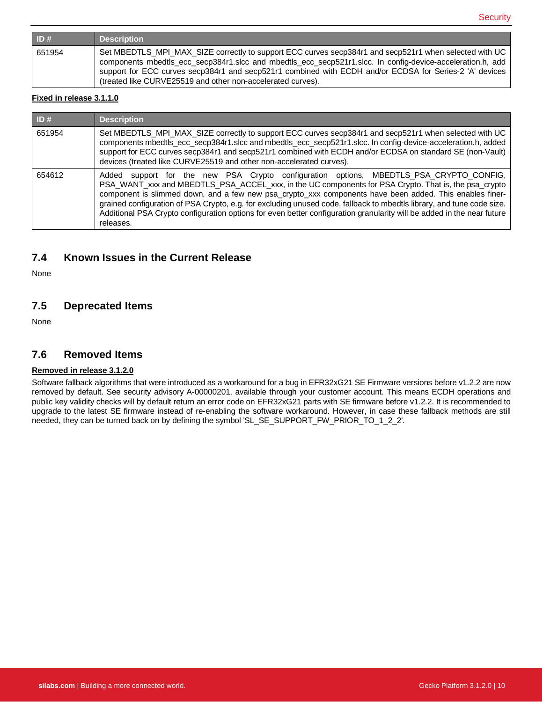| ID#    | <b>Description</b>                                                                                                                                                                                                                                                                                                                                                                             |
|--------|------------------------------------------------------------------------------------------------------------------------------------------------------------------------------------------------------------------------------------------------------------------------------------------------------------------------------------------------------------------------------------------------|
| 651954 | Set MBEDTLS_MPI_MAX_SIZE correctly to support ECC curves secp384r1 and secp521r1 when selected with UC<br>components mbedtls_ecc_secp384r1.slcc and mbedtls_ecc_secp521r1.slcc. In config-device-acceleration.h, add<br>support for ECC curves secp384r1 and secp521r1 combined with ECDH and/or ECDSA for Series-2 'A' devices<br>(treated like CURVE25519 and other non-accelerated curves). |

#### **Fixed in release 3.1.1.0**

| ID#    | <b>Description</b>                                                                                                                                                                                                                                                                                                                                                                                                                                                                                                                                                           |
|--------|------------------------------------------------------------------------------------------------------------------------------------------------------------------------------------------------------------------------------------------------------------------------------------------------------------------------------------------------------------------------------------------------------------------------------------------------------------------------------------------------------------------------------------------------------------------------------|
| 651954 | Set MBEDTLS_MPI_MAX_SIZE correctly to support ECC curves secp384r1 and secp521r1 when selected with UC<br>components mbedtls_ecc_secp384r1.slcc and mbedtls_ecc_secp521r1.slcc. In config-device-acceleration.h, added<br>support for ECC curves secp384r1 and secp521r1 combined with ECDH and/or ECDSA on standard SE (non-Vault)<br>devices (treated like CURVE25519 and other non-accelerated curves).                                                                                                                                                                   |
| 654612 | support for the new PSA Crypto configuration options, MBEDTLS_PSA_CRYPTO_CONFIG,<br>Added<br>PSA_WANT_xxx and MBEDTLS_PSA_ACCEL_xxx, in the UC components for PSA Crypto. That is, the psa_crypto<br>component is slimmed down, and a few new psa_crypto_xxx components have been added. This enables finer-<br>grained configuration of PSA Crypto, e.g. for excluding unused code, fallback to mbedtls library, and tune code size.<br>Additional PSA Crypto configuration options for even better configuration granularity will be added in the near future<br>releases. |

# **7.4 Known Issues in the Current Release**

None

### **7.5 Deprecated Items**

None

### **7.6 Removed Items**

#### **Removed in release 3.1.2.0**

Software fallback algorithms that were introduced as a workaround for a bug in EFR32xG21 SE Firmware versions before v1.2.2 are now removed by default. See security advisory A-00000201, available through your customer account. This means ECDH operations and public key validity checks will by default return an error code on EFR32xG21 parts with SE firmware before v1.2.2. It is recommended to upgrade to the latest SE firmware instead of re-enabling the software workaround. However, in case these fallback methods are still needed, they can be turned back on by defining the symbol 'SL\_SE\_SUPPORT\_FW\_PRIOR\_TO\_1\_2\_2'.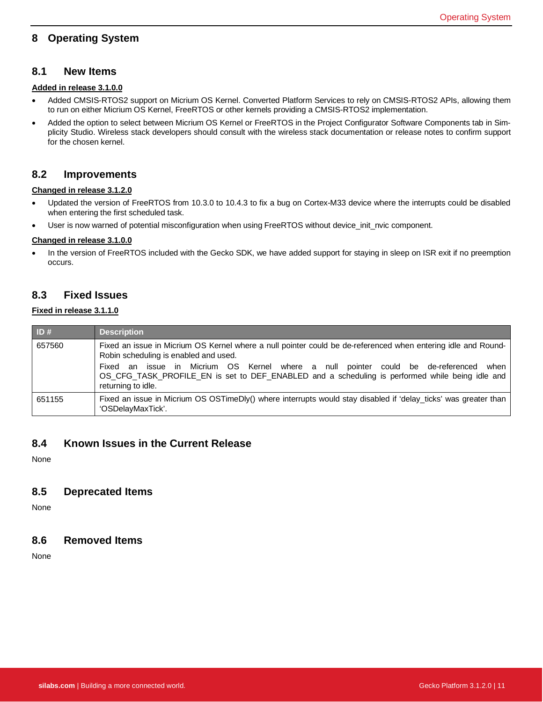# <span id="page-11-0"></span>**8 Operating System**

#### **8.1 New Items**

#### **Added in release 3.1.0.0**

- Added CMSIS-RTOS2 support on Micrium OS Kernel. Converted Platform Services to rely on CMSIS-RTOS2 APIs, allowing them to run on either Micrium OS Kernel, FreeRTOS or other kernels providing a CMSIS-RTOS2 implementation.
- Added the option to select between Micrium OS Kernel or FreeRTOS in the Project Configurator Software Components tab in Simplicity Studio. Wireless stack developers should consult with the wireless stack documentation or release notes to confirm support for the chosen kernel.

#### **8.2 Improvements**

#### **Changed in release 3.1.2.0**

- Updated the version of FreeRTOS from 10.3.0 to 10.4.3 to fix a bug on Cortex-M33 device where the interrupts could be disabled when entering the first scheduled task.
- User is now warned of potential misconfiguration when using FreeRTOS without device\_init\_nvic component.

#### **Changed in release 3.1.0.0**

• In the version of FreeRTOS included with the Gecko SDK, we have added support for staying in sleep on ISR exit if no preemption occurs.

### **8.3 Fixed Issues**

#### **Fixed in release 3.1.1.0**

| ID#    | <b>Description</b>                                                                                                                                                                                                                                                                                                                                                         |
|--------|----------------------------------------------------------------------------------------------------------------------------------------------------------------------------------------------------------------------------------------------------------------------------------------------------------------------------------------------------------------------------|
| 657560 | Fixed an issue in Micrium OS Kernel where a null pointer could be de-referenced when entering idle and Round-<br>Robin scheduling is enabled and used.<br>an issue in Micrium OS Kernel where a null pointer could be de-referenced when<br>Fixed<br>OS_CFG_TASK_PROFILE_EN is set to DEF_ENABLED and a scheduling is performed while being idle and<br>returning to idle. |
| 651155 | Fixed an issue in Micrium OS OSTimeDly() where interrupts would stay disabled if 'delay ticks' was greater than<br>'OSDelayMaxTick'.                                                                                                                                                                                                                                       |

#### **8.4 Known Issues in the Current Release**

None

#### **8.5 Deprecated Items**

None

#### **8.6 Removed Items**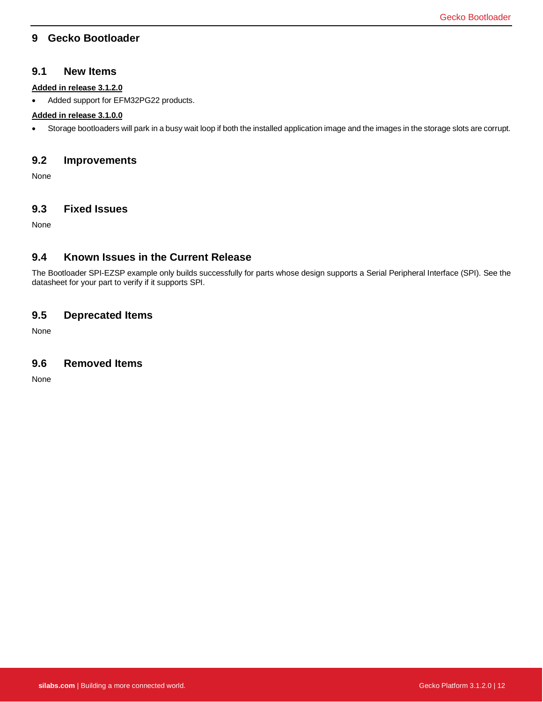### <span id="page-12-0"></span>**9 Gecko Bootloader**

#### **9.1 New Items**

#### **Added in release 3.1.2.0**

• Added support for EFM32PG22 products.

#### **Added in release 3.1.0.0**

• Storage bootloaders will park in a busy wait loop if both the installed application image and the images in the storage slots are corrupt.

### **9.2 Improvements**

None

#### **9.3 Fixed Issues**

None

### **9.4 Known Issues in the Current Release**

The Bootloader SPI-EZSP example only builds successfully for parts whose design supports a Serial Peripheral Interface (SPI). See the datasheet for your part to verify if it supports SPI.

### **9.5 Deprecated Items**

None

#### **9.6 Removed Items**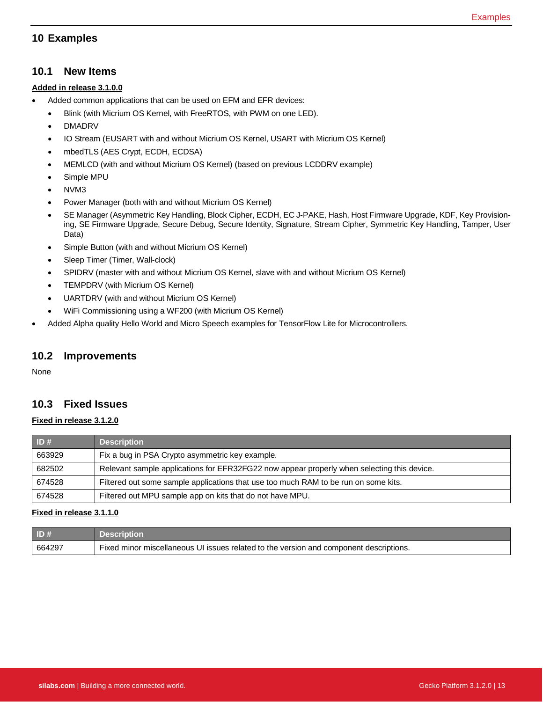# <span id="page-13-0"></span>**10 Examples**

#### **10.1 New Items**

#### **Added in release 3.1.0.0**

- Added common applications that can be used on EFM and EFR devices:
	- Blink (with Micrium OS Kernel, with FreeRTOS, with PWM on one LED).
	- DMADRV
	- IO Stream (EUSART with and without Micrium OS Kernel, USART with Micrium OS Kernel)
	- mbedTLS (AES Crypt, ECDH, ECDSA)
	- MEMLCD (with and without Micrium OS Kernel) (based on previous LCDDRV example)
	- Simple MPU
	- NVM3
	- Power Manager (both with and without Micrium OS Kernel)
	- SE Manager (Asymmetric Key Handling, Block Cipher, ECDH, EC J-PAKE, Hash, Host Firmware Upgrade, KDF, Key Provisioning, SE Firmware Upgrade, Secure Debug, Secure Identity, Signature, Stream Cipher, Symmetric Key Handling, Tamper, User Data)
	- Simple Button (with and without Micrium OS Kernel)
	- Sleep Timer (Timer, Wall-clock)
	- SPIDRV (master with and without Micrium OS Kernel, slave with and without Micrium OS Kernel)
	- TEMPDRV (with Micrium OS Kernel)
	- UARTDRV (with and without Micrium OS Kernel)
	- WiFi Commissioning using a WF200 (with Micrium OS Kernel)
- Added Alpha quality Hello World and Micro Speech examples for TensorFlow Lite for Microcontrollers.

#### **10.2 Improvements**

None

# **10.3 Fixed Issues**

#### **Fixed in release 3.1.2.0**

| ID#    | <b>Description</b>                                                                         |
|--------|--------------------------------------------------------------------------------------------|
| 663929 | Fix a bug in PSA Crypto asymmetric key example.                                            |
| 682502 | Relevant sample applications for EFR32FG22 now appear properly when selecting this device. |
| 674528 | Filtered out some sample applications that use too much RAM to be run on some kits.        |
| 674528 | Filtered out MPU sample app on kits that do not have MPU.                                  |

#### **Fixed in release 3.1.1.0**

| ID#    | <b>Description</b>                                                                     |
|--------|----------------------------------------------------------------------------------------|
| 664297 | Fixed minor miscellaneous UI issues related to the version and component descriptions. |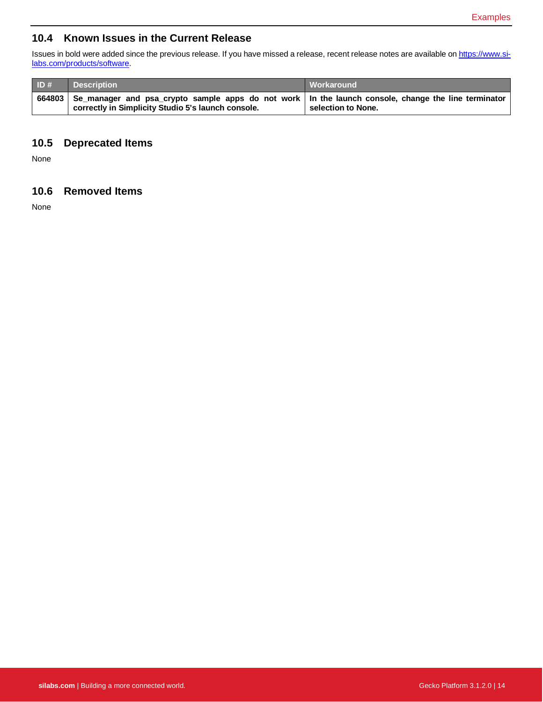# **10.4 Known Issues in the Current Release**

Issues in bold were added since the previous release. If you have missed a release, recent release notes are available o[n https://www.si](https://www.silabs.com/products/software)[labs.com/products/software.](https://www.silabs.com/products/software)

| ID# | <b>Description</b>                                                                                                                                                 | Workaround         |
|-----|--------------------------------------------------------------------------------------------------------------------------------------------------------------------|--------------------|
|     | 664803 Se_manager and psa_crypto sample apps do not work   In the launch console, change the line terminator<br>correctly in Simplicity Studio 5's launch console. | selection to None. |

# **10.5 Deprecated Items**

None

### **10.6 Removed Items**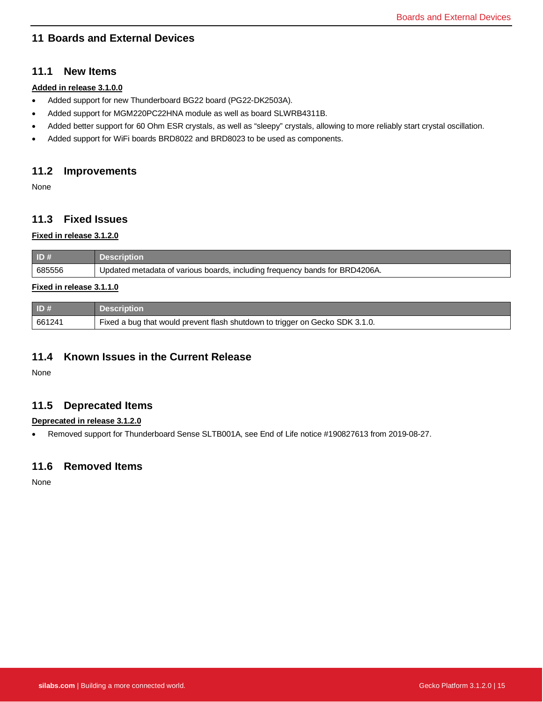# <span id="page-15-0"></span>**11 Boards and External Devices**

### **11.1 New Items**

#### **Added in release 3.1.0.0**

- Added support for new Thunderboard BG22 board (PG22-DK2503A).
- Added support for MGM220PC22HNA module as well as board SLWRB4311B.
- Added better support for 60 Ohm ESR crystals, as well as "sleepy" crystals, allowing to more reliably start crystal oscillation.
- Added support for WiFi boards BRD8022 and BRD8023 to be used as components.

### **11.2 Improvements**

None

# **11.3 Fixed Issues**

#### **Fixed in release 3.1.2.0**

| ID#    | <b>Description</b>                                                          |
|--------|-----------------------------------------------------------------------------|
| 685556 | Updated metadata of various boards, including frequency bands for BRD4206A. |

#### **Fixed in release 3.1.1.0**

| ID#    | <b>Description</b>                                                           |
|--------|------------------------------------------------------------------------------|
| 661241 | Fixed a bug that would prevent flash shutdown to trigger on Gecko SDK 3.1.0. |

### **11.4 Known Issues in the Current Release**

None

### **11.5 Deprecated Items**

#### **Deprecated in release 3.1.2.0**

• Removed support for Thunderboard Sense SLTB001A, see End of Life notice #190827613 from 2019-08-27.

### **11.6 Removed Items**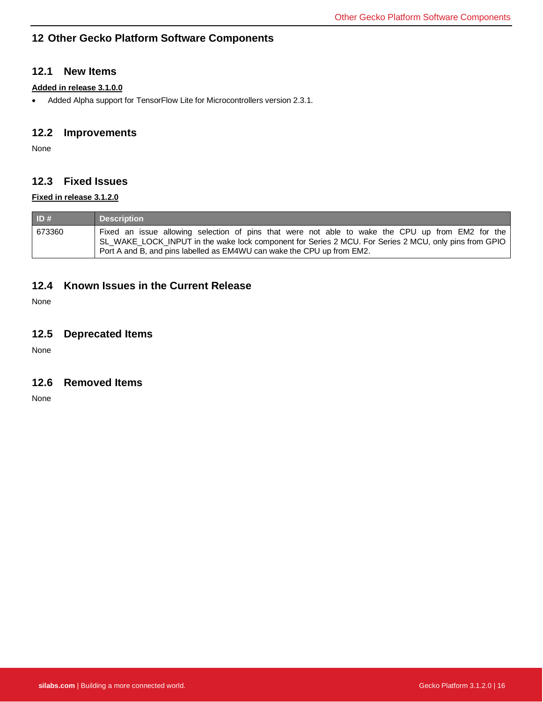# <span id="page-16-0"></span>**12 Other Gecko Platform Software Components**

### **12.1 New Items**

### **Added in release 3.1.0.0**

• Added Alpha support for TensorFlow Lite for Microcontrollers version 2.3.1.

### **12.2 Improvements**

None

# **12.3 Fixed Issues**

#### **Fixed in release 3.1.2.0**

| ID#    | <b>Description</b>                                                                                                                                                                                                                                                                  |
|--------|-------------------------------------------------------------------------------------------------------------------------------------------------------------------------------------------------------------------------------------------------------------------------------------|
| 673360 | Fixed an issue allowing selection of pins that were not able to wake the CPU up from EM2 for the<br>SL_WAKE_LOCK_INPUT in the wake lock component for Series 2 MCU. For Series 2 MCU, only pins from GPIO<br>Port A and B, and pins labelled as EM4WU can wake the CPU up from EM2. |

### **12.4 Known Issues in the Current Release**

None

### **12.5 Deprecated Items**

None

### **12.6 Removed Items**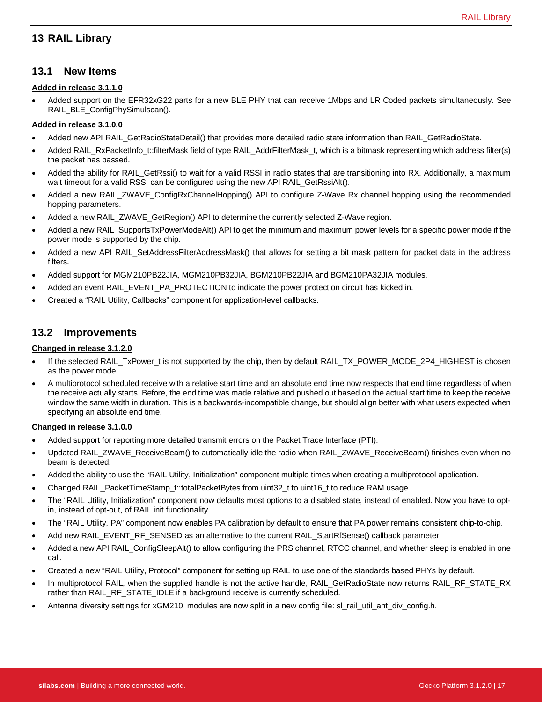# <span id="page-17-0"></span>**13 RAIL Library**

#### **13.1 New Items**

#### **Added in release 3.1.1.0**

• Added support on the EFR32xG22 parts for a new BLE PHY that can receive 1Mbps and LR Coded packets simultaneously. See RAIL\_BLE\_ConfigPhySimulscan().

#### **Added in release 3.1.0.0**

- Added new API RAIL\_GetRadioStateDetail() that provides more detailed radio state information than RAIL\_GetRadioState.
- Added RAIL\_RxPacketInfo\_t::filterMask field of type RAIL\_AddrFilterMask\_t, which is a bitmask representing which address filter(s) the packet has passed.
- Added the ability for RAIL\_GetRssi() to wait for a valid RSSI in radio states that are transitioning into RX. Additionally, a maximum wait timeout for a valid RSSI can be configured using the new API RAIL\_GetRssiAlt().
- Added a new RAIL\_ZWAVE\_ConfigRxChannelHopping() API to configure Z-Wave Rx channel hopping using the recommended hopping parameters.
- Added a new RAIL\_ZWAVE\_GetRegion() API to determine the currently selected Z-Wave region.
- Added a new RAIL\_SupportsTxPowerModeAlt() API to get the minimum and maximum power levels for a specific power mode if the power mode is supported by the chip.
- Added a new API RAIL\_SetAddressFilterAddressMask() that allows for setting a bit mask pattern for packet data in the address filters.
- Added support for MGM210PB22JIA, MGM210PB32JIA, BGM210PB22JIA and BGM210PA32JIA modules.
- Added an event RAIL\_EVENT\_PA\_PROTECTION to indicate the power protection circuit has kicked in.
- Created a "RAIL Utility, Callbacks" component for application-level callbacks.

### **13.2 Improvements**

#### **Changed in release 3.1.2.0**

- If the selected RAIL\_TxPower\_t is not supported by the chip, then by default RAIL\_TX\_POWER\_MODE\_2P4\_HIGHEST is chosen as the power mode.
- A multiprotocol scheduled receive with a relative start time and an absolute end time now respects that end time regardless of when the receive actually starts. Before, the end time was made relative and pushed out based on the actual start time to keep the receive window the same width in duration. This is a backwards-incompatible change, but should align better with what users expected when specifying an absolute end time.

#### **Changed in release 3.1.0.0**

- Added support for reporting more detailed transmit errors on the Packet Trace Interface (PTI).
- Updated RAIL\_ZWAVE\_ReceiveBeam() to automatically idle the radio when RAIL\_ZWAVE\_ReceiveBeam() finishes even when no beam is detected.
- Added the ability to use the "RAIL Utility, Initialization" component multiple times when creating a multiprotocol application.
- Changed RAIL\_PacketTimeStamp\_t::totalPacketBytes from uint32\_t to uint16\_t to reduce RAM usage.
- The "RAIL Utility, Initialization" component now defaults most options to a disabled state, instead of enabled. Now you have to optin, instead of opt-out, of RAIL init functionality.
- The "RAIL Utility, PA" component now enables PA calibration by default to ensure that PA power remains consistent chip-to-chip.
- Add new RAIL\_EVENT\_RF\_SENSED as an alternative to the current RAIL\_StartRfSense() callback parameter.
- Added a new API RAIL\_ConfigSleepAlt() to allow configuring the PRS channel, RTCC channel, and whether sleep is enabled in one call.
- Created a new "RAIL Utility, Protocol" component for setting up RAIL to use one of the standards based PHYs by default.
- In multiprotocol RAIL, when the supplied handle is not the active handle, RAIL\_GetRadioState now returns RAIL\_RF\_STATE\_RX rather than RAIL\_RF\_STATE\_IDLE if a background receive is currently scheduled.
- Antenna diversity settings for xGM210 modules are now split in a new config file: sl\_rail\_util\_ant\_div\_config.h.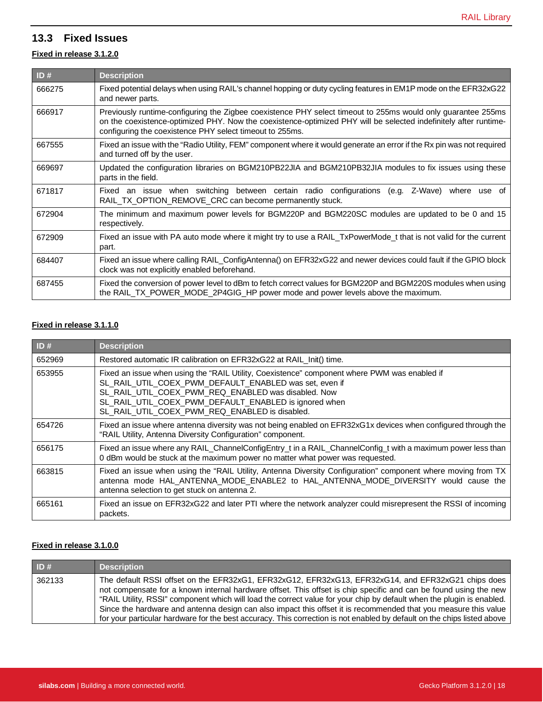# **13.3 Fixed Issues**

### **Fixed in release 3.1.2.0**

| ID#    | <b>Description</b>                                                                                                                                                                                                                                                                           |
|--------|----------------------------------------------------------------------------------------------------------------------------------------------------------------------------------------------------------------------------------------------------------------------------------------------|
| 666275 | Fixed potential delays when using RAIL's channel hopping or duty cycling features in EM1P mode on the EFR32xG22<br>and newer parts.                                                                                                                                                          |
| 666917 | Previously runtime-configuring the Zigbee coexistence PHY select timeout to 255ms would only guarantee 255ms<br>on the coexistence-optimized PHY. Now the coexistence-optimized PHY will be selected indefinitely after runtime-<br>configuring the coexistence PHY select timeout to 255ms. |
| 667555 | Fixed an issue with the "Radio Utility, FEM" component where it would generate an error if the Rx pin was not required<br>and turned off by the user.                                                                                                                                        |
| 669697 | Updated the configuration libraries on BGM210PB22JIA and BGM210PB32JIA modules to fix issues using these<br>parts in the field.                                                                                                                                                              |
| 671817 | Fixed an issue when switching between certain radio configurations (e.g.<br>Z-Wave) where use of<br>RAIL_TX_OPTION_REMOVE_CRC can become permanently stuck.                                                                                                                                  |
| 672904 | The minimum and maximum power levels for BGM220P and BGM220SC modules are updated to be 0 and 15<br>respectively.                                                                                                                                                                            |
| 672909 | Fixed an issue with PA auto mode where it might try to use a RAIL_TxPowerMode_t that is not valid for the current<br>part.                                                                                                                                                                   |
| 684407 | Fixed an issue where calling RAIL_ConfigAntenna() on EFR32xG22 and newer devices could fault if the GPIO block<br>clock was not explicitly enabled beforehand.                                                                                                                               |
| 687455 | Fixed the conversion of power level to dBm to fetch correct values for BGM220P and BGM220S modules when using<br>the RAIL_TX_POWER_MODE_2P4GIG_HP power mode and power levels above the maximum.                                                                                             |

#### **Fixed in release 3.1.1.0**

| ID#    | <b>Description</b>                                                                                                                                                                                                                                                                                                       |
|--------|--------------------------------------------------------------------------------------------------------------------------------------------------------------------------------------------------------------------------------------------------------------------------------------------------------------------------|
| 652969 | Restored automatic IR calibration on EFR32xG22 at RAIL Init() time.                                                                                                                                                                                                                                                      |
| 653955 | Fixed an issue when using the "RAIL Utility, Coexistence" component where PWM was enabled if<br>SL_RAIL_UTIL_COEX_PWM_DEFAULT_ENABLED was set, even if<br>SL_RAIL_UTIL_COEX_PWM_REQ_ENABLED was disabled. Now<br>SL RAIL UTIL COEX PWM DEFAULT ENABLED is ignored when<br>SL_RAIL_UTIL_COEX_PWM_REQ_ENABLED is disabled. |
| 654726 | Fixed an issue where antenna diversity was not being enabled on EFR32xG1x devices when configured through the<br>"RAIL Utility, Antenna Diversity Configuration" component.                                                                                                                                              |
| 656175 | Fixed an issue where any RAIL_ChannelConfigEntry_t in a RAIL_ChannelConfig_t with a maximum power less than<br>0 dBm would be stuck at the maximum power no matter what power was requested.                                                                                                                             |
| 663815 | Fixed an issue when using the "RAIL Utility, Antenna Diversity Configuration" component where moving from TX<br>antenna mode HAL_ANTENNA_MODE_ENABLE2 to HAL_ANTENNA_MODE_DIVERSITY would cause the<br>antenna selection to get stuck on antenna 2.                                                                      |
| 665161 | Fixed an issue on EFR32xG22 and later PTI where the network analyzer could misrepresent the RSSI of incoming<br>packets.                                                                                                                                                                                                 |

#### **Fixed in release 3.1.0.0**

| ID#    | <b>Description</b>                                                                                                                                                                                                                                                                                                                                                                                                                                                                                                                                                                            |
|--------|-----------------------------------------------------------------------------------------------------------------------------------------------------------------------------------------------------------------------------------------------------------------------------------------------------------------------------------------------------------------------------------------------------------------------------------------------------------------------------------------------------------------------------------------------------------------------------------------------|
| 362133 | The default RSSI offset on the EFR32xG1, EFR32xG12, EFR32xG13, EFR32xG14, and EFR32xG21 chips does<br>not compensate for a known internal hardware offset. This offset is chip specific and can be found using the new<br>"RAIL Utility, RSSI" component which will load the correct value for your chip by default when the plugin is enabled.<br>Since the hardware and antenna design can also impact this offset it is recommended that you measure this value<br>for your particular hardware for the best accuracy. This correction is not enabled by default on the chips listed above |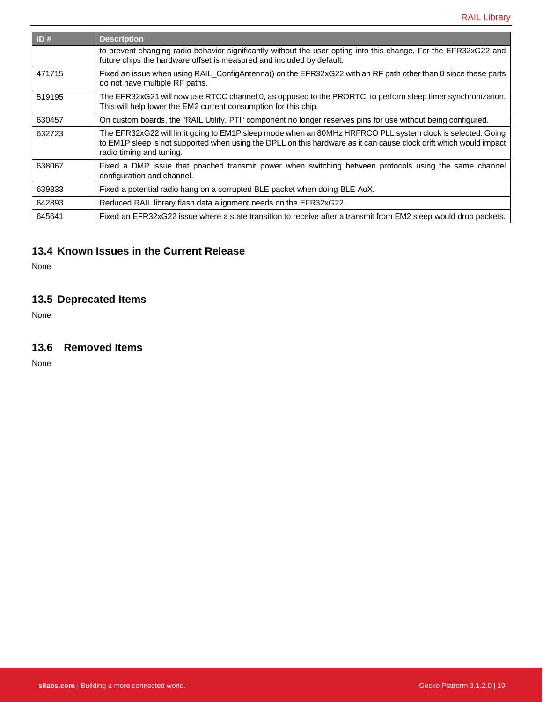| ID#    | <b>Description</b>                                                                                                                                                                                                                                           |
|--------|--------------------------------------------------------------------------------------------------------------------------------------------------------------------------------------------------------------------------------------------------------------|
|        | to prevent changing radio behavior significantly without the user opting into this change. For the EFR32xG22 and<br>future chips the hardware offset is measured and included by default.                                                                    |
| 471715 | Fixed an issue when using RAIL_ConfigAntenna() on the EFR32xG22 with an RF path other than 0 since these parts<br>do not have multiple RF paths.                                                                                                             |
| 519195 | The EFR32xG21 will now use RTCC channel 0, as opposed to the PRORTC, to perform sleep timer synchronization.<br>This will help lower the EM2 current consumption for this chip.                                                                              |
| 630457 | On custom boards, the "RAIL Utility, PTI" component no longer reserves pins for use without being configured.                                                                                                                                                |
| 632723 | The EFR32xG22 will limit going to EM1P sleep mode when an 80MHz HRFRCO PLL system clock is selected. Going<br>to EM1P sleep is not supported when using the DPLL on this hardware as it can cause clock drift which would impact<br>radio timing and tuning. |
| 638067 | Fixed a DMP issue that poached transmit power when switching between protocols using the same channel<br>configuration and channel.                                                                                                                          |
| 639833 | Fixed a potential radio hang on a corrupted BLE packet when doing BLE AoX.                                                                                                                                                                                   |
| 642893 | Reduced RAIL library flash data alignment needs on the EFR32xG22.                                                                                                                                                                                            |
| 645641 | Fixed an EFR32xG22 issue where a state transition to receive after a transmit from EM2 sleep would drop packets.                                                                                                                                             |

# **13.4 Known Issues in the Current Release**

None

# **13.5 Deprecated Items**

None

# **13.6 Removed Items**